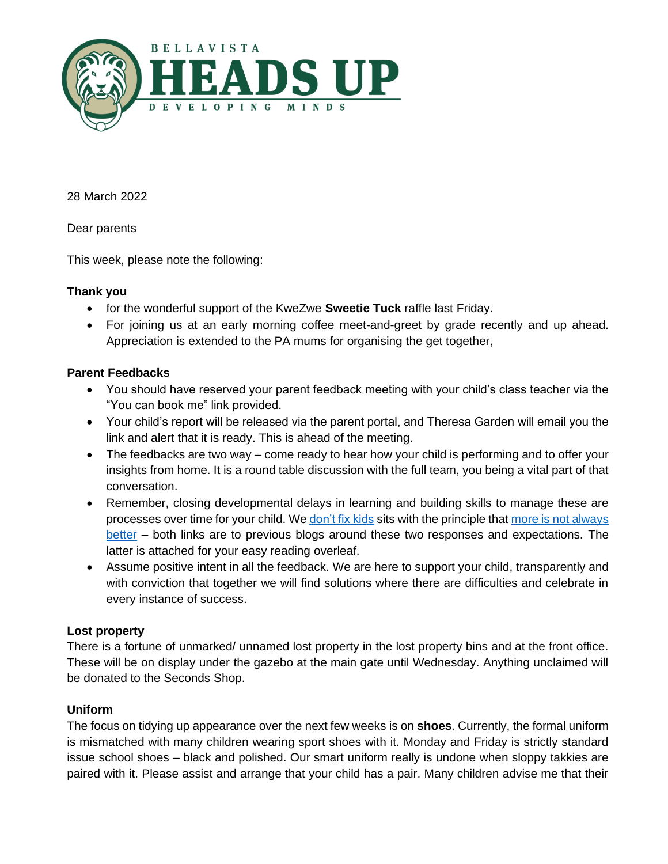

28 March 2022

Dear parents

This week, please note the following:

## **Thank you**

- for the wonderful support of the KweZwe **Sweetie Tuck** raffle last Friday.
- For joining us at an early morning coffee meet-and-greet by grade recently and up ahead. Appreciation is extended to the PA mums for organising the get together,

## **Parent Feedbacks**

- You should have reserved your parent feedback meeting with your child's class teacher via the "You can book me" link provided.
- Your child's report will be released via the parent portal, and Theresa Garden will email you the link and alert that it is ready. This is ahead of the meeting.
- The feedbacks are two way come ready to hear how your child is performing and to offer your insights from home. It is a round table discussion with the full team, you being a vital part of that conversation.
- Remember, closing developmental delays in learning and building skills to manage these are processes over time for your child. W[e don't fix kids](https://bellavista.org.za/sorry-we-dont-fix-kids/) sits with the principle that more is not always [better](https://bellavista.org.za/a-lot-does-not-mean-a-lot-and-something-might-just-be-everything/) – both links are to previous blogs around these two responses and expectations. The latter is attached for your easy reading overleaf.
- Assume positive intent in all the feedback. We are here to support your child, transparently and with conviction that together we will find solutions where there are difficulties and celebrate in every instance of success.

## **Lost property**

There is a fortune of unmarked/ unnamed lost property in the lost property bins and at the front office. These will be on display under the gazebo at the main gate until Wednesday. Anything unclaimed will be donated to the Seconds Shop.

## **Uniform**

The focus on tidying up appearance over the next few weeks is on **shoes**. Currently, the formal uniform is mismatched with many children wearing sport shoes with it. Monday and Friday is strictly standard issue school shoes – black and polished. Our smart uniform really is undone when sloppy takkies are paired with it. Please assist and arrange that your child has a pair. Many children advise me that their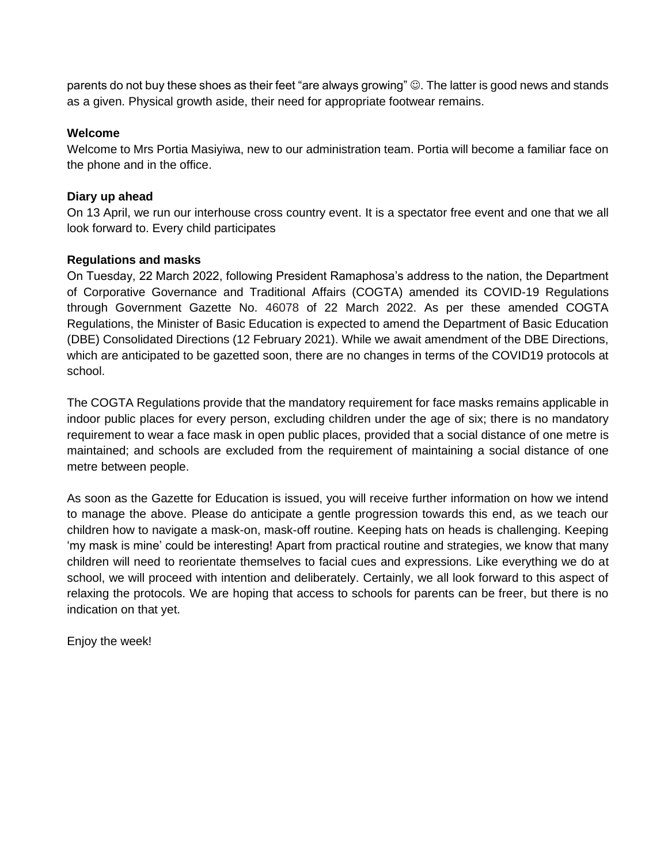parents do not buy these shoes as their feet "are always growing" ☺. The latter is good news and stands as a given. Physical growth aside, their need for appropriate footwear remains.

#### **Welcome**

Welcome to Mrs Portia Masiyiwa, new to our administration team. Portia will become a familiar face on the phone and in the office.

## **Diary up ahead**

On 13 April, we run our interhouse cross country event. It is a spectator free event and one that we all look forward to. Every child participates

#### **Regulations and masks**

On Tuesday, 22 March 2022, following President Ramaphosa's address to the nation, the Department of Corporative Governance and Traditional Affairs (COGTA) amended its COVID-19 Regulations through Government Gazette No. 46078 of 22 March 2022. As per these amended COGTA Regulations, the Minister of Basic Education is expected to amend the Department of Basic Education (DBE) Consolidated Directions (12 February 2021). While we await amendment of the DBE Directions, which are anticipated to be gazetted soon, there are no changes in terms of the COVID19 protocols at school.

The COGTA Regulations provide that the mandatory requirement for face masks remains applicable in indoor public places for every person, excluding children under the age of six; there is no mandatory requirement to wear a face mask in open public places, provided that a social distance of one metre is maintained; and schools are excluded from the requirement of maintaining a social distance of one metre between people.

As soon as the Gazette for Education is issued, you will receive further information on how we intend to manage the above. Please do anticipate a gentle progression towards this end, as we teach our children how to navigate a mask-on, mask-off routine. Keeping hats on heads is challenging. Keeping 'my mask is mine' could be interesting! Apart from practical routine and strategies, we know that many children will need to reorientate themselves to facial cues and expressions. Like everything we do at school, we will proceed with intention and deliberately. Certainly, we all look forward to this aspect of relaxing the protocols. We are hoping that access to schools for parents can be freer, but there is no indication on that yet.

Enjoy the week!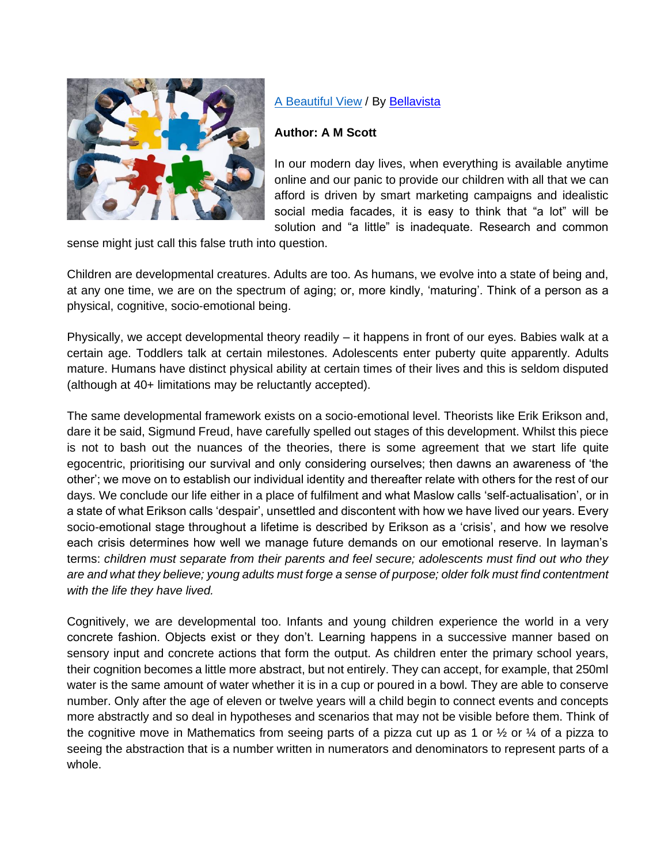

# [A Beautiful View](https://bellavista.org.za/category/a-beautiful-view/) / By [Bellavista](https://bellavista.org.za/author/scottalison/)

## **Author: A M Scott**

In our modern day lives, when everything is available anytime online and our panic to provide our children with all that we can afford is driven by smart marketing campaigns and idealistic social media facades, it is easy to think that "a lot" will be solution and "a little" is inadequate. Research and common

sense might just call this false truth into question.

Children are developmental creatures. Adults are too. As humans, we evolve into a state of being and, at any one time, we are on the spectrum of aging; or, more kindly, 'maturing'. Think of a person as a physical, cognitive, socio-emotional being.

Physically, we accept developmental theory readily – it happens in front of our eyes. Babies walk at a certain age. Toddlers talk at certain milestones. Adolescents enter puberty quite apparently. Adults mature. Humans have distinct physical ability at certain times of their lives and this is seldom disputed (although at 40+ limitations may be reluctantly accepted).

The same developmental framework exists on a socio-emotional level. Theorists like Erik Erikson and, dare it be said, Sigmund Freud, have carefully spelled out stages of this development. Whilst this piece is not to bash out the nuances of the theories, there is some agreement that we start life quite egocentric, prioritising our survival and only considering ourselves; then dawns an awareness of 'the other'; we move on to establish our individual identity and thereafter relate with others for the rest of our days. We conclude our life either in a place of fulfilment and what Maslow calls 'self-actualisation', or in a state of what Erikson calls 'despair', unsettled and discontent with how we have lived our years. Every socio-emotional stage throughout a lifetime is described by Erikson as a 'crisis', and how we resolve each crisis determines how well we manage future demands on our emotional reserve. In layman's terms: *children must separate from their parents and feel secure; adolescents must find out who they are and what they believe; young adults must forge a sense of purpose; older folk must find contentment with the life they have lived.*

Cognitively, we are developmental too. Infants and young children experience the world in a very concrete fashion. Objects exist or they don't. Learning happens in a successive manner based on sensory input and concrete actions that form the output. As children enter the primary school years, their cognition becomes a little more abstract, but not entirely. They can accept, for example, that 250ml water is the same amount of water whether it is in a cup or poured in a bowl. They are able to conserve number. Only after the age of eleven or twelve years will a child begin to connect events and concepts more abstractly and so deal in hypotheses and scenarios that may not be visible before them. Think of the cognitive move in Mathematics from seeing parts of a pizza cut up as 1 or  $\frac{1}{2}$  or  $\frac{1}{4}$  of a pizza to seeing the abstraction that is a number written in numerators and denominators to represent parts of a whole.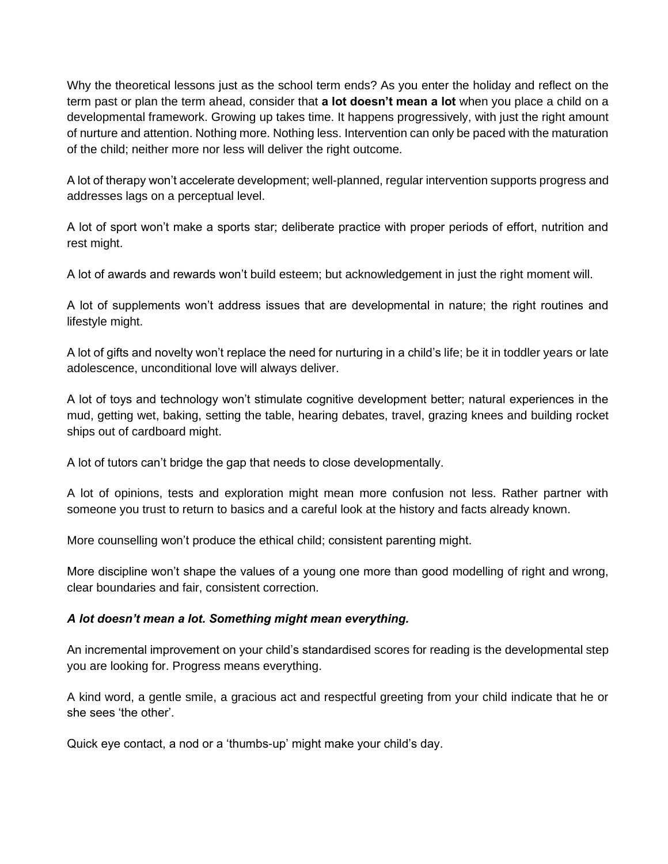Why the theoretical lessons just as the school term ends? As you enter the holiday and reflect on the term past or plan the term ahead, consider that **a lot doesn't mean a lot** when you place a child on a developmental framework. Growing up takes time. It happens progressively, with just the right amount of nurture and attention. Nothing more. Nothing less. Intervention can only be paced with the maturation of the child; neither more nor less will deliver the right outcome.

A lot of therapy won't accelerate development; well-planned, regular intervention supports progress and addresses lags on a perceptual level.

A lot of sport won't make a sports star; deliberate practice with proper periods of effort, nutrition and rest might.

A lot of awards and rewards won't build esteem; but acknowledgement in just the right moment will.

A lot of supplements won't address issues that are developmental in nature; the right routines and lifestyle might.

A lot of gifts and novelty won't replace the need for nurturing in a child's life; be it in toddler years or late adolescence, unconditional love will always deliver.

A lot of toys and technology won't stimulate cognitive development better; natural experiences in the mud, getting wet, baking, setting the table, hearing debates, travel, grazing knees and building rocket ships out of cardboard might.

A lot of tutors can't bridge the gap that needs to close developmentally.

A lot of opinions, tests and exploration might mean more confusion not less. Rather partner with someone you trust to return to basics and a careful look at the history and facts already known.

More counselling won't produce the ethical child; consistent parenting might.

More discipline won't shape the values of a young one more than good modelling of right and wrong, clear boundaries and fair, consistent correction.

## *A lot doesn't mean a lot. Something might mean everything.*

An incremental improvement on your child's standardised scores for reading is the developmental step you are looking for. Progress means everything.

A kind word, a gentle smile, a gracious act and respectful greeting from your child indicate that he or she sees 'the other'.

Quick eye contact, a nod or a 'thumbs-up' might make your child's day.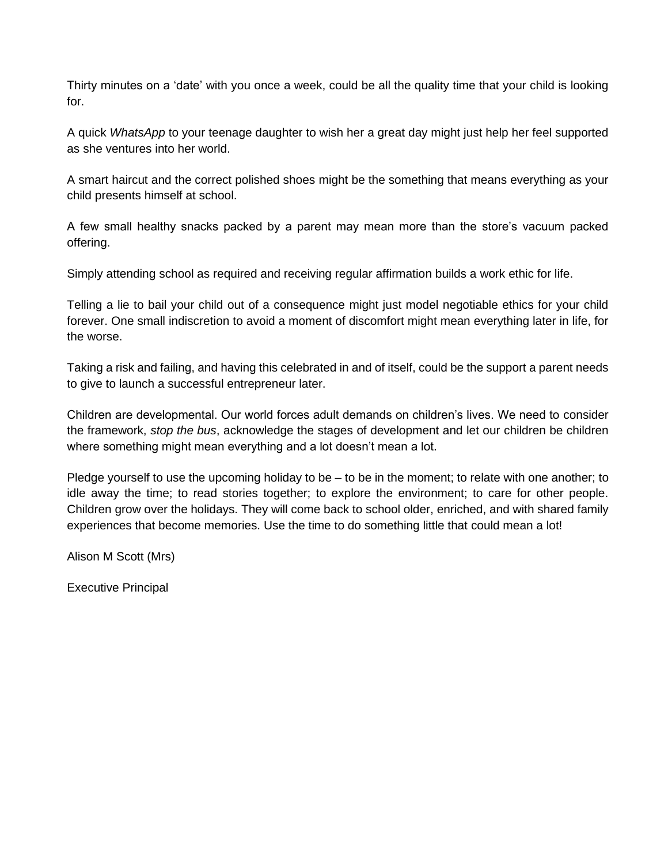Thirty minutes on a 'date' with you once a week, could be all the quality time that your child is looking for.

A quick *WhatsApp* to your teenage daughter to wish her a great day might just help her feel supported as she ventures into her world.

A smart haircut and the correct polished shoes might be the something that means everything as your child presents himself at school.

A few small healthy snacks packed by a parent may mean more than the store's vacuum packed offering.

Simply attending school as required and receiving regular affirmation builds a work ethic for life.

Telling a lie to bail your child out of a consequence might just model negotiable ethics for your child forever. One small indiscretion to avoid a moment of discomfort might mean everything later in life, for the worse.

Taking a risk and failing, and having this celebrated in and of itself, could be the support a parent needs to give to launch a successful entrepreneur later.

Children are developmental. Our world forces adult demands on children's lives. We need to consider the framework, *stop the bus*, acknowledge the stages of development and let our children be children where something might mean everything and a lot doesn't mean a lot.

Pledge yourself to use the upcoming holiday to be – to be in the moment; to relate with one another; to idle away the time; to read stories together; to explore the environment; to care for other people. Children grow over the holidays. They will come back to school older, enriched, and with shared family experiences that become memories. Use the time to do something little that could mean a lot!

Alison M Scott (Mrs)

Executive Principal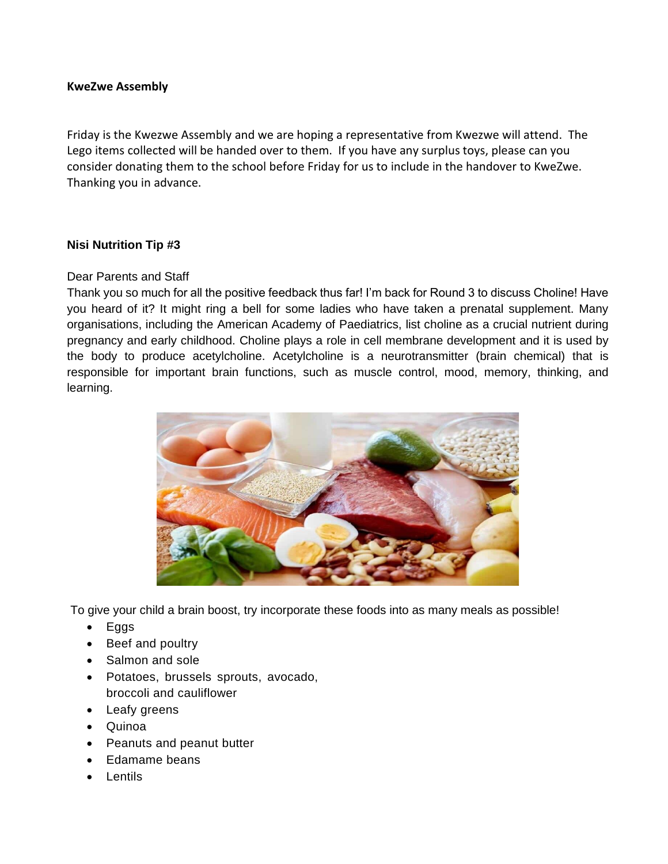#### **KweZwe Assembly**

Friday is the Kwezwe Assembly and we are hoping a representative from Kwezwe will attend. The Lego items collected will be handed over to them. If you have any surplus toys, please can you consider donating them to the school before Friday for us to include in the handover to KweZwe. Thanking you in advance.

## **Nisi Nutrition Tip #3**

## Dear Parents and Staff

Thank you so much for all the positive feedback thus far! I'm back for Round 3 to discuss Choline! Have you heard of it? It might ring a bell for some ladies who have taken a prenatal supplement. Many organisations, including the American Academy of Paediatrics, list choline as a crucial nutrient during pregnancy and early childhood. Choline plays a role in cell membrane development and it is used by the body to produce acetylcholine. Acetylcholine is a neurotransmitter (brain chemical) that is responsible for important brain functions, such as muscle control, mood, memory, thinking, and learning.



To give your child a brain boost, try incorporate these foods into as many meals as possible!

- Eggs
- Beef and poultry
- Salmon and sole
- Potatoes, brussels sprouts, avocado, broccoli and cauliflower
- Leafy greens
- Quinoa
- Peanuts and peanut butter
- Edamame beans
- Lentils